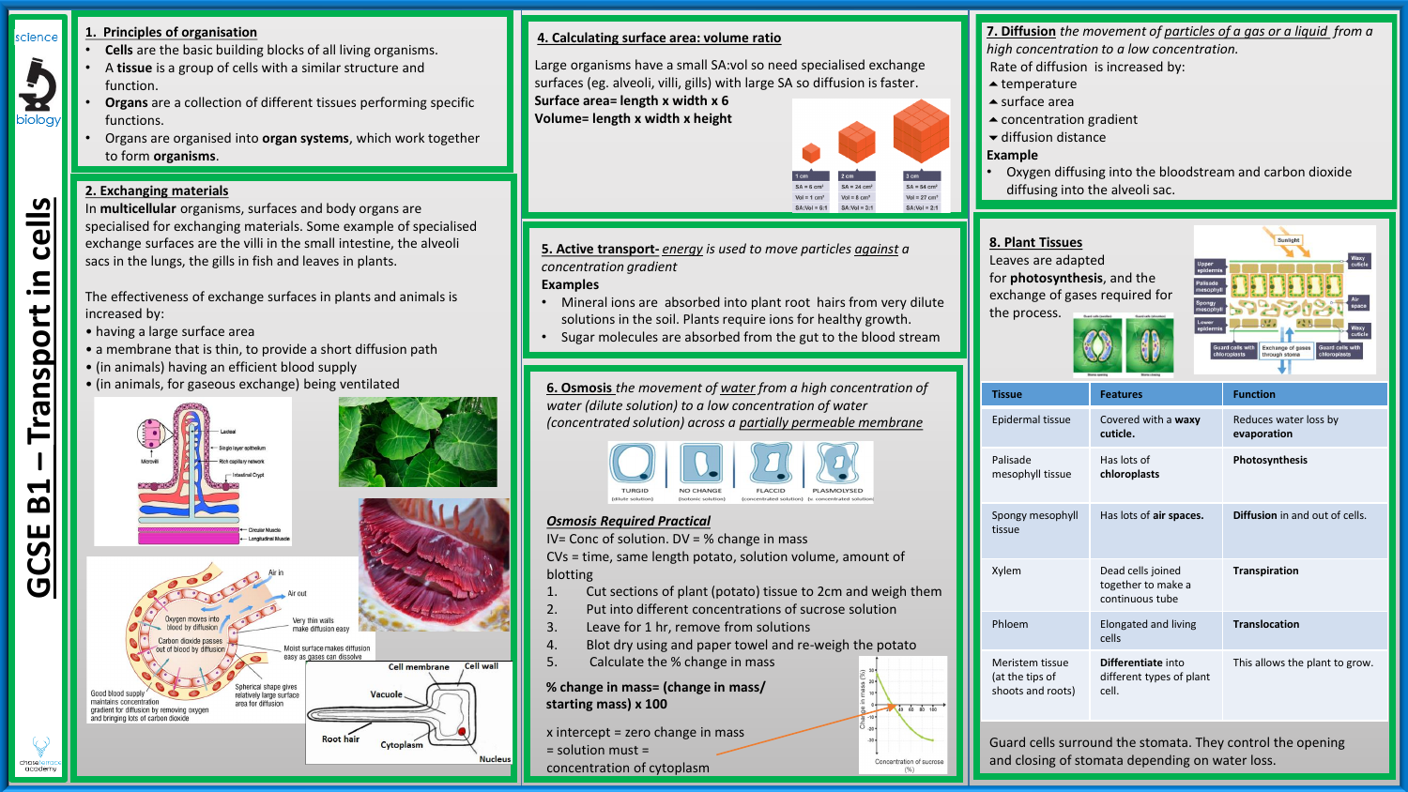

**GCSE B1** 

chaseterrad<br>academy

**– Transport in cells**

ransport

cells

 $\equiv$ 

# **1. Principles of organisation**

- **Cells** are the basic building blocks of all living organisms.
- A **tissue** is a group of cells with a similar structure and function.
- **Organs** are a collection of different tissues performing specific functions.
- Organs are organised into **organ systems**, which work together to form **organisms**.

## **2. Exchanging materials**

In **multicellular** organisms, surfaces and body organs are specialised for exchanging materials. Some example of specialised exchange surfaces are the villi in the small intestine, the alveoli sacs in the lungs, the gills in fish and leaves in plants.

The effectiveness of exchange surfaces in plants and animals is increased by:

- having a large surface area
- a membrane that is thin, to provide a short diffusion path
- (in animals) having an efficient blood supply
- (in animals, for gaseous exchange) being ventilated **6. Osmosis** *the movement of water from a high concentration of*



## **4. Calculating surface area: volume ratio**

Large organisms have a small SA:vol so need specialised exchange surfaces (eg. alveoli, villi, gills) with large SA so diffusion is faster.

**Surface area= length x width x 6 Volume= length x width x height**



Concentration of sucrose

**5. Active transport-** *energy is used to move particles against a concentration gradient* 

### **Examples**

- Mineral ions are absorbed into plant root hairs from very dilute solutions in the soil. Plants require ions for healthy growth.
- Sugar molecules are absorbed from the gut to the blood stream

*water (dilute solution) to a low concentration of water (concentrated solution) across a partially permeable membrane*



### *Osmosis Required Practical*

IV= Conc of solution. DV = % change in mass

CVs = time, same length potato, solution volume, amount of blotting

- 1. Cut sections of plant (potato) tissue to 2cm and weigh them
- 2. Put into different concentrations of sucrose solution
- 3. Leave for 1 hr, remove from solutions
- 4. Blot dry using and paper towel and re-weigh the potato
- 5. Calculate the % change in mass

**% change in mass= (change in mass/ starting mass) x 100**

x intercept = zero change in mass = solution must =

concentration of cytoplasm

**7. Diffusion** *the movement of particles of a gas or a liquid from a high concentration to a low concentration.* 

- Rate of diffusion is increased by:
- $\triangle$  temperature
- **▲** surface area
- ▲ concentration gradient
- **▼** diffusion distance

#### **Example**

• Oxygen diffusing into the bloodstream and carbon dioxide diffusing into the alveoli sac.

# **8. Plant Tissues**

Leaves are adapted for **photosynthesis**, and the exchange of gases required for the process.



| <b>Tissue</b>                                           | <b>Features</b>                                            | <b>Function</b>                       |
|---------------------------------------------------------|------------------------------------------------------------|---------------------------------------|
| Epidermal tissue                                        | Covered with a waxy<br>cuticle.                            | Reduces water loss by<br>evaporation  |
| Palisade<br>mesophyll tissue                            | Has lots of<br>chloroplasts                                | Photosynthesis                        |
| Spongy mesophyll<br>tissue                              | Has lots of air spaces.                                    | <b>Diffusion</b> in and out of cells. |
| Xylem                                                   | Dead cells joined<br>together to make a<br>continuous tube | <b>Transpiration</b>                  |
| Phloem                                                  | Elongated and living<br>cells                              | <b>Translocation</b>                  |
| Meristem tissue<br>(at the tips of<br>shoots and roots) | Differentiate into<br>different types of plant<br>cell.    | This allows the plant to grow.        |

Guard cells surround the stomata. They control the opening and closing of stomata depending on water loss.